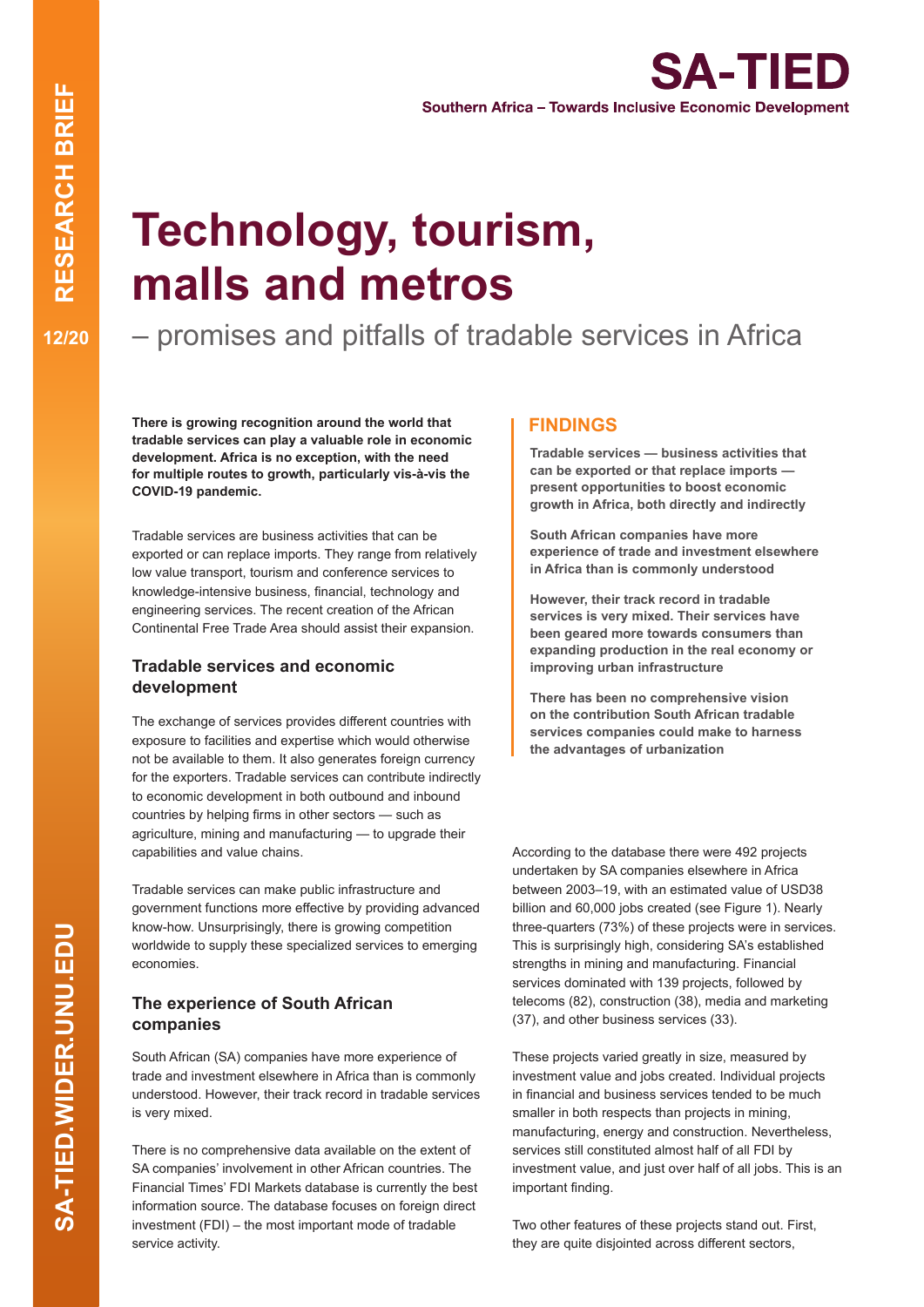**SA-TIED Southern Africa - Towards Inclusive Economic Development** 

# **Technology, tourism, malls and metros**

– promises and pitfalls of tradable services in Africa

**There is growing recognition around the world that tradable services can play a valuable role in economic development. Africa is no exception, with the need for multiple routes to growth, particularly vis-à-vis the COVID-19 pandemic.**

Tradable services are business activities that can be exported or can replace imports. They range from relatively low value transport, tourism and conference services to knowledge-intensive business, financial, technology and engineering services. The recent creation of the African Continental Free Trade Area should assist their expansion.

#### **Tradable services and economic development**

The exchange of services provides different countries with exposure to facilities and expertise which would otherwise not be available to them. It also generates foreign currency for the exporters. Tradable services can contribute indirectly to economic development in both outbound and inbound countries by helping firms in other sectors — such as agriculture, mining and manufacturing — to upgrade their capabilities and value chains.

Tradable services can make public infrastructure and government functions more effective by providing advanced know-how. Unsurprisingly, there is growing competition worldwide to supply these specialized services to emerging economies.

# **The experience of South African companies**

South African (SA) companies have more experience of trade and investment elsewhere in Africa than is commonly understood. However, their track record in tradable services is very mixed.

There is no comprehensive data available on the extent of SA companies' involvement in other African countries. The Financial Times' FDI Markets database is currently the best information source. The database focuses on foreign direct investment (FDI) – the most important mode of tradable service activity.

## **FINDINGS**

**Tradable services — business activities that can be exported or that replace imports present opportunities to boost economic growth in Africa, both directly and indirectly**

**South African companies have more experience of trade and investment elsewhere in Africa than is commonly understood**

**However, their track record in tradable services is very mixed. Their services have been geared more towards consumers than expanding production in the real economy or improving urban infrastructure**

**There has been no comprehensive vision on the contribution South African tradable services companies could make to harness the advantages of urbanization**

According to the database there were 492 projects undertaken by SA companies elsewhere in Africa between 2003–19, with an estimated value of USD38 billion and 60,000 jobs created (see Figure 1). Nearly three-quarters (73%) of these projects were in services. This is surprisingly high, considering SA's established strengths in mining and manufacturing. Financial services dominated with 139 projects, followed by telecoms (82), construction (38), media and marketing (37), and other business services (33).

These projects varied greatly in size, measured by investment value and jobs created. Individual projects in financial and business services tended to be much smaller in both respects than projects in mining, manufacturing, energy and construction. Nevertheless, services still constituted almost half of all FDI by investment value, and just over half of all jobs. This is an important finding.

Two other features of these projects stand out. First, they are quite disjointed across different sectors,